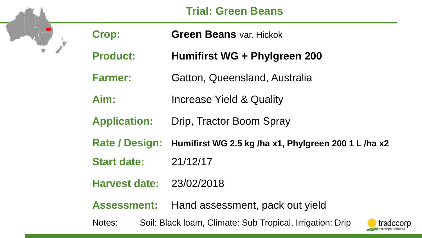## **Trial: Green Beans**

W

| <b>Crop:</b>          | <b>Green Beans var. Hickok</b>                                    |
|-----------------------|-------------------------------------------------------------------|
| <b>Product:</b>       | Humifirst WG + Phylgreen 200                                      |
| <b>Farmer:</b>        | Gatton, Queensland, Australia                                     |
| Aim:                  | <b>Increase Yield &amp; Quality</b>                               |
| <b>Application:</b>   | Drip, Tractor Boom Spray                                          |
| <b>Rate / Design:</b> | Humifirst WG 2.5 kg /ha x1, Phylgreen 200 1 L /ha x2              |
| <b>Start date:</b>    | 21/12/17                                                          |
| <b>Harvest date:</b>  | 23/02/2018                                                        |
| <b>Assessment:</b>    | Hand assessment, pack out yield                                   |
| Notes:                | Soil: Black Ioam, Climate: Sub Tropical, Irrigation: Drip<br>trad |

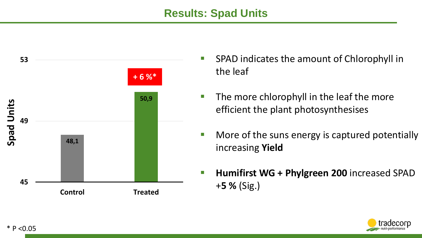#### **Results: Spad Units**



- SPAD indicates the amount of Chlorophyll in the leaf
- $\blacksquare$  The more chlorophyll in the leaf the more efficient the plant photosynthesises
- **Nore of the suns energy is captured potentially** increasing **Yield**
- **Humifirst WG + Phylgreen 200** increased SPAD +**5 %** (Sig.)

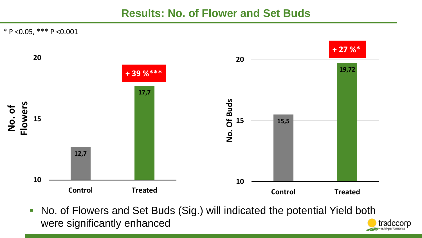#### **Results: No. of Flower and Set Buds**

\* P <0.05, \*\*\* P <0.001



■ No. of Flowers and Set Buds (Sig.) will indicated the potential Yield both were significantly enhanced tradecorp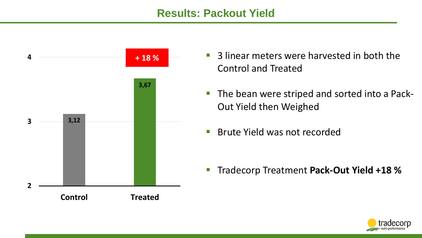#### **Results: Packout Yield**



- **+18%** 3 linear meters were harvested in both the Control and Treated
	- The bean were striped and sorted into a Pack-Out Yield then Weighed
	- **Brute Yield was not recorded**

**Tradecorp Treatment Pack-Out Yield +18 %** 

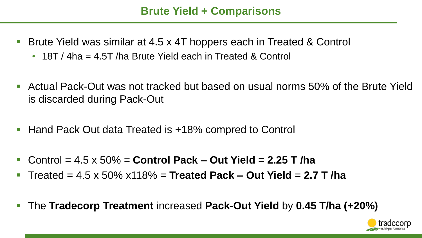## **Brute Yield + Comparisons**

- Brute Yield was similar at 4.5 x 4T hoppers each in Treated & Control
	- 18T / 4ha = 4.5T /ha Brute Yield each in Treated & Control
- Actual Pack-Out was not tracked but based on usual norms 50% of the Brute Yield is discarded during Pack-Out
- Hand Pack Out data Treated is +18% compred to Control
- Control = 4.5 x 50% = **Control Pack – Out Yield = 2.25 T /ha**
- Treated = 4.5 x 50% x118% = **Treated Pack – Out Yield** = **2.7 T /ha**
- The **Tradecorp Treatment** increased **Pack-Out Yield** by **0.45 T/ha (+20%)**

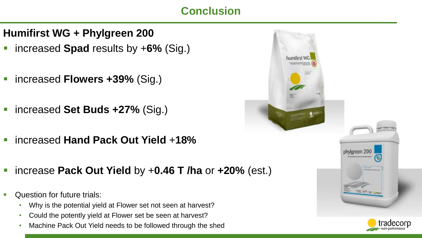# **Conclusion**

- **Humifirst WG + Phylgreen 200**
- increased **Spad** results by +6% (Sig.)
- increased **Flowers +39%** (Sig.)
- increased **Set Buds +27%** (Sig.)
- increased **Hand Pack Out Yield** +**18%**
- increase **Pack Out Yield** by +**0.46 T /ha** or **+20%** (est.)
- Question for future trials:
	- Why is the potential yield at Flower set not seen at harvest?
	- Could the potently yield at Flower set be seen at harvest?
	- Machine Pack Out Yield needs to be followed through the shed